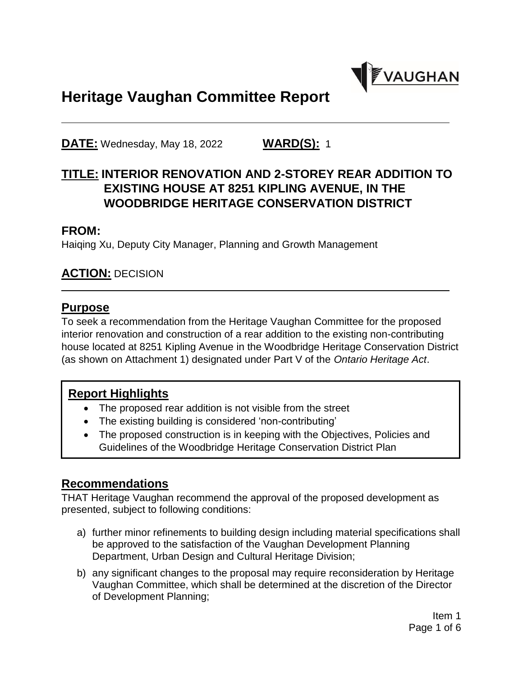

# **Heritage Vaughan Committee Report**

**DATE:** Wednesday, May 18, 2022 **WARD(S):** 1

# **TITLE: INTERIOR RENOVATION AND 2-STOREY REAR ADDITION TO EXISTING HOUSE AT 8251 KIPLING AVENUE, IN THE WOODBRIDGE HERITAGE CONSERVATION DISTRICT**

#### **FROM:**

Haiqing Xu, Deputy City Manager, Planning and Growth Management

#### **ACTION:** DECISION

#### **Purpose**

To seek a recommendation from the Heritage Vaughan Committee for the proposed interior renovation and construction of a rear addition to the existing non-contributing house located at 8251 Kipling Avenue in the Woodbridge Heritage Conservation District (as shown on Attachment 1) designated under Part V of the *Ontario Heritage Act*.

#### **Report Highlights**

- The proposed rear addition is not visible from the street
- The existing building is considered 'non-contributing'
- The proposed construction is in keeping with the Objectives, Policies and Guidelines of the Woodbridge Heritage Conservation District Plan

#### **Recommendations**

THAT Heritage Vaughan recommend the approval of the proposed development as presented, subject to following conditions:

- a) further minor refinements to building design including material specifications shall be approved to the satisfaction of the Vaughan Development Planning Department, Urban Design and Cultural Heritage Division;
- b) any significant changes to the proposal may require reconsideration by Heritage Vaughan Committee, which shall be determined at the discretion of the Director of Development Planning;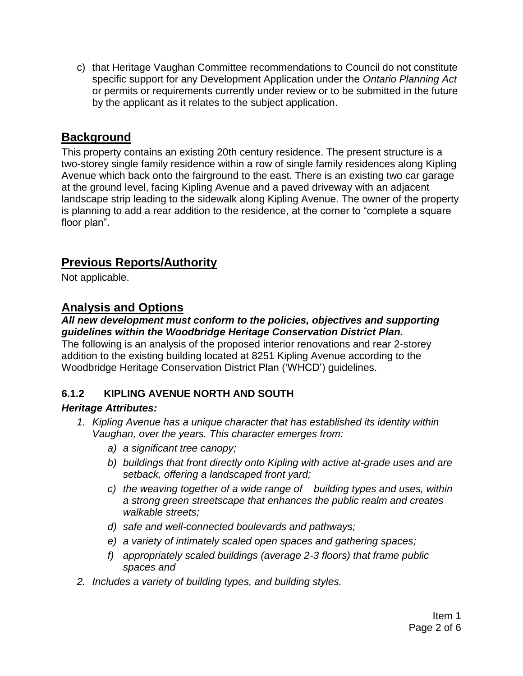c) that Heritage Vaughan Committee recommendations to Council do not constitute specific support for any Development Application under the *Ontario Planning Act*  or permits or requirements currently under review or to be submitted in the future by the applicant as it relates to the subject application.

# **Background**

This property contains an existing 20th century residence. The present structure is a two-storey single family residence within a row of single family residences along Kipling Avenue which back onto the fairground to the east. There is an existing two car garage at the ground level, facing Kipling Avenue and a paved driveway with an adjacent landscape strip leading to the sidewalk along Kipling Avenue. The owner of the property is planning to add a rear addition to the residence, at the corner to "complete a square floor plan".

# **Previous Reports/Authority**

Not applicable.

## **Analysis and Options**

#### *All new development must conform to the policies, objectives and supporting guidelines within the Woodbridge Heritage Conservation District Plan.*

The following is an analysis of the proposed interior renovations and rear 2-storey addition to the existing building located at 8251 Kipling Avenue according to the Woodbridge Heritage Conservation District Plan ('WHCD') guidelines.

### **6.1.2 KIPLING AVENUE NORTH AND SOUTH**

#### *Heritage Attributes:*

- *1. Kipling Avenue has a unique character that has established its identity within Vaughan, over the years. This character emerges from:*
	- *a) a significant tree canopy;*
	- *b) buildings that front directly onto Kipling with active at-grade uses and are setback, offering a landscaped front yard;*
	- *c) the weaving together of a wide range of building types and uses, within a strong green streetscape that enhances the public realm and creates walkable streets;*
	- *d) safe and well-connected boulevards and pathways;*
	- *e) a variety of intimately scaled open spaces and gathering spaces;*
	- *f) appropriately scaled buildings (average 2-3 floors) that frame public spaces and*
- *2. Includes a variety of building types, and building styles.*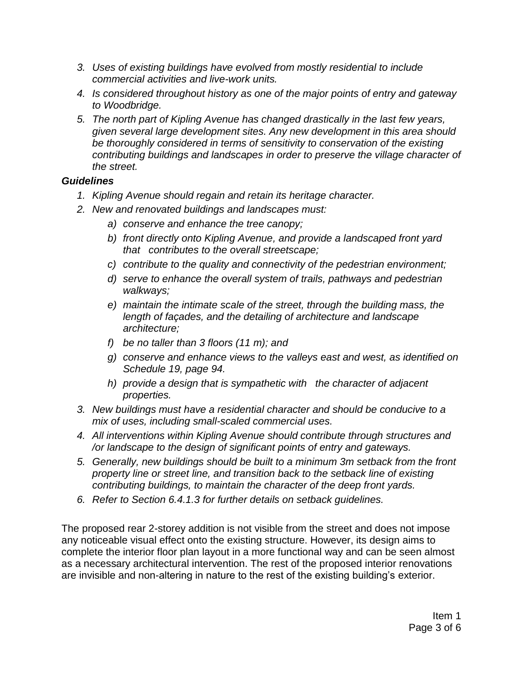- *3. Uses of existing buildings have evolved from mostly residential to include commercial activities and live-work units.*
- *4. Is considered throughout history as one of the major points of entry and gateway to Woodbridge.*
- *5. The north part of Kipling Avenue has changed drastically in the last few years, given several large development sites. Any new development in this area should be thoroughly considered in terms of sensitivity to conservation of the existing contributing buildings and landscapes in order to preserve the village character of the street.*

#### *Guidelines*

- *1. Kipling Avenue should regain and retain its heritage character.*
- *2. New and renovated buildings and landscapes must:*
	- *a) conserve and enhance the tree canopy;*
	- *b) front directly onto Kipling Avenue, and provide a landscaped front yard that contributes to the overall streetscape;*
	- *c) contribute to the quality and connectivity of the pedestrian environment;*
	- *d) serve to enhance the overall system of trails, pathways and pedestrian walkways;*
	- *e) maintain the intimate scale of the street, through the building mass, the length of façades, and the detailing of architecture and landscape architecture;*
	- *f) be no taller than 3 floors (11 m); and*
	- *g) conserve and enhance views to the valleys east and west, as identified on Schedule 19, page 94.*
	- *h) provide a design that is sympathetic with the character of adjacent properties.*
- *3. New buildings must have a residential character and should be conducive to a mix of uses, including small-scaled commercial uses.*
- *4. All interventions within Kipling Avenue should contribute through structures and /or landscape to the design of significant points of entry and gateways.*
- *5. Generally, new buildings should be built to a minimum 3m setback from the front property line or street line, and transition back to the setback line of existing contributing buildings, to maintain the character of the deep front yards.*
- *6. Refer to Section 6.4.1.3 for further details on setback guidelines.*

The proposed rear 2-storey addition is not visible from the street and does not impose any noticeable visual effect onto the existing structure. However, its design aims to complete the interior floor plan layout in a more functional way and can be seen almost as a necessary architectural intervention. The rest of the proposed interior renovations are invisible and non-altering in nature to the rest of the existing building's exterior.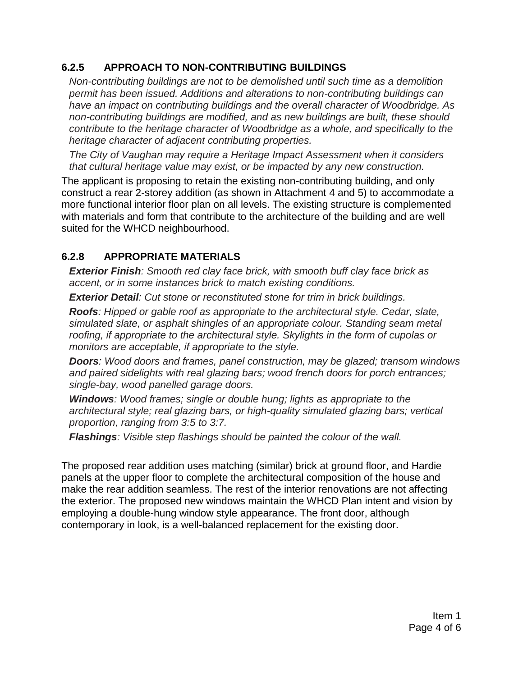#### **6.2.5 APPROACH TO NON-CONTRIBUTING BUILDINGS**

*Non-contributing buildings are not to be demolished until such time as a demolition permit has been issued. Additions and alterations to non-contributing buildings can have an impact on contributing buildings and the overall character of Woodbridge. As non-contributing buildings are modified, and as new buildings are built, these should contribute to the heritage character of Woodbridge as a whole, and specifically to the heritage character of adjacent contributing properties.* 

*The City of Vaughan may require a Heritage Impact Assessment when it considers that cultural heritage value may exist, or be impacted by any new construction.*

The applicant is proposing to retain the existing non-contributing building, and only construct a rear 2-storey addition (as shown in Attachment 4 and 5) to accommodate a more functional interior floor plan on all levels. The existing structure is complemented with materials and form that contribute to the architecture of the building and are well suited for the WHCD neighbourhood.

### **6.2.8 APPROPRIATE MATERIALS**

*Exterior Finish: Smooth red clay face brick, with smooth buff clay face brick as accent, or in some instances brick to match existing conditions.*

*Exterior Detail: Cut stone or reconstituted stone for trim in brick buildings.*

*Roofs: Hipped or gable roof as appropriate to the architectural style. Cedar, slate, simulated slate, or asphalt shingles of an appropriate colour. Standing seam metal roofing, if appropriate to the architectural style. Skylights in the form of cupolas or monitors are acceptable, if appropriate to the style.*

*Doors: Wood doors and frames, panel construction, may be glazed; transom windows and paired sidelights with real glazing bars; wood french doors for porch entrances; single-bay, wood panelled garage doors.*

*Windows: Wood frames; single or double hung; lights as appropriate to the architectural style; real glazing bars, or high-quality simulated glazing bars; vertical proportion, ranging from 3:5 to 3:7.*

*Flashings: Visible step flashings should be painted the colour of the wall.*

The proposed rear addition uses matching (similar) brick at ground floor, and Hardie panels at the upper floor to complete the architectural composition of the house and make the rear addition seamless. The rest of the interior renovations are not affecting the exterior. The proposed new windows maintain the WHCD Plan intent and vision by employing a double-hung window style appearance. The front door, although contemporary in look, is a well-balanced replacement for the existing door.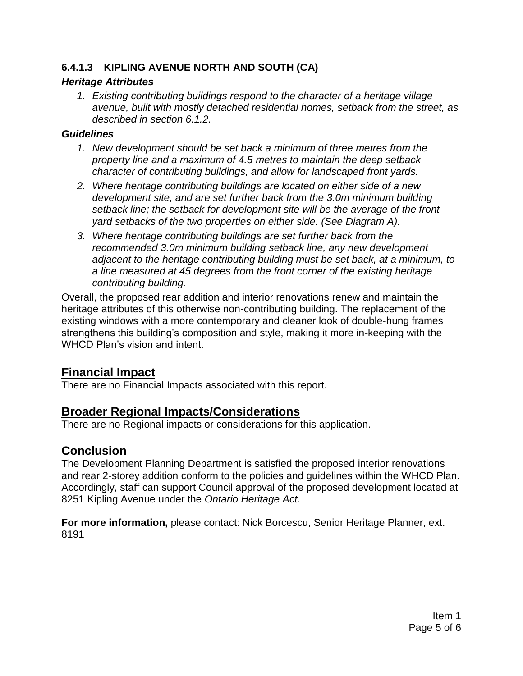#### **6.4.1.3 KIPLING AVENUE NORTH AND SOUTH (CA)**

#### *Heritage Attributes*

*1. Existing contributing buildings respond to the character of a heritage village avenue, built with mostly detached residential homes, setback from the street, as described in section 6.1.2.*

#### *Guidelines*

- *1. New development should be set back a minimum of three metres from the property line and a maximum of 4.5 metres to maintain the deep setback character of contributing buildings, and allow for landscaped front yards.*
- *2. Where heritage contributing buildings are located on either side of a new development site, and are set further back from the 3.0m minimum building setback line; the setback for development site will be the average of the front yard setbacks of the two properties on either side. (See Diagram A).*
- *3. Where heritage contributing buildings are set further back from the recommended 3.0m minimum building setback line, any new development adjacent to the heritage contributing building must be set back, at a minimum, to a line measured at 45 degrees from the front corner of the existing heritage contributing building.*

Overall, the proposed rear addition and interior renovations renew and maintain the heritage attributes of this otherwise non-contributing building. The replacement of the existing windows with a more contemporary and cleaner look of double-hung frames strengthens this building's composition and style, making it more in-keeping with the WHCD Plan's vision and intent.

# **Financial Impact**

There are no Financial Impacts associated with this report.

# **Broader Regional Impacts/Considerations**

There are no Regional impacts or considerations for this application.

## **Conclusion**

The Development Planning Department is satisfied the proposed interior renovations and rear 2-storey addition conform to the policies and guidelines within the WHCD Plan. Accordingly, staff can support Council approval of the proposed development located at 8251 Kipling Avenue under the *Ontario Heritage Act*.

**For more information,** please contact: Nick Borcescu, Senior Heritage Planner, ext. 8191